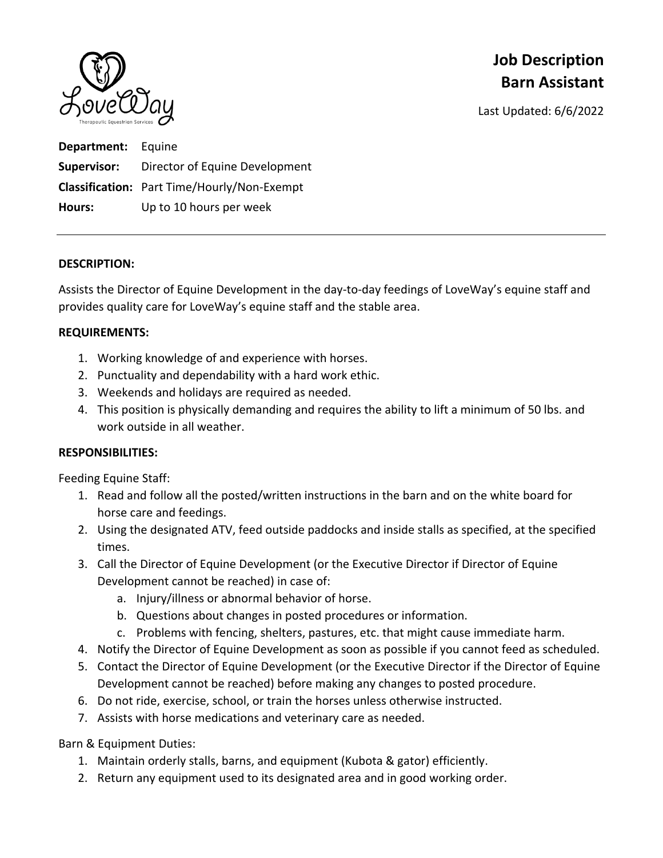

# **Job Description Barn Assistant**

Last Updated: 6/6/2022

| <b>Department:</b> Equine |                                                    |
|---------------------------|----------------------------------------------------|
|                           | <b>Supervisor:</b> Director of Equine Development  |
|                           | <b>Classification:</b> Part Time/Hourly/Non-Exempt |
| Hours:                    | Up to 10 hours per week                            |

#### **DESCRIPTION:**

Assists the Director of Equine Development in the day‐to‐day feedings of LoveWay's equine staff and provides quality care for LoveWay's equine staff and the stable area.

#### **REQUIREMENTS:**

- 1. Working knowledge of and experience with horses.
- 2. Punctuality and dependability with a hard work ethic.
- 3. Weekends and holidays are required as needed.
- 4. This position is physically demanding and requires the ability to lift a minimum of 50 lbs. and work outside in all weather.

### **RESPONSIBILITIES:**

Feeding Equine Staff:

- 1. Read and follow all the posted/written instructions in the barn and on the white board for horse care and feedings.
- 2. Using the designated ATV, feed outside paddocks and inside stalls as specified, at the specified times.
- 3. Call the Director of Equine Development (or the Executive Director if Director of Equine Development cannot be reached) in case of:
	- a. Injury/illness or abnormal behavior of horse.
	- b. Questions about changes in posted procedures or information.
	- c. Problems with fencing, shelters, pastures, etc. that might cause immediate harm.
- 4. Notify the Director of Equine Development as soon as possible if you cannot feed as scheduled.
- 5. Contact the Director of Equine Development (or the Executive Director if the Director of Equine Development cannot be reached) before making any changes to posted procedure.
- 6. Do not ride, exercise, school, or train the horses unless otherwise instructed.
- 7. Assists with horse medications and veterinary care as needed.

Barn & Equipment Duties:

- 1. Maintain orderly stalls, barns, and equipment (Kubota & gator) efficiently.
- 2. Return any equipment used to its designated area and in good working order.